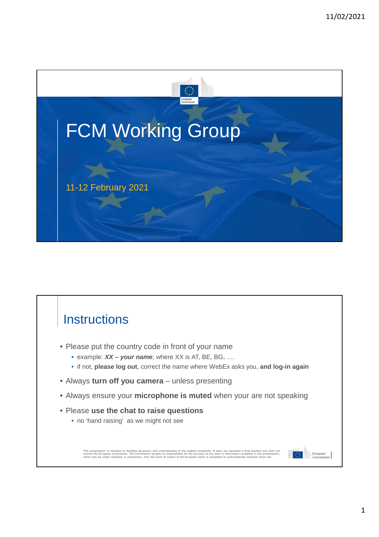

# **Instructions**

- Please put the country code in front of your name
	- example: *XX your name*; where XX is AT, BE, BG, ….
	- if not, **please log out**, correct the name where WebEx asks you, **and log-in again**
- Always **turn off you camera**  unless presenting
- Always ensure your **microphone is muted** when your are not speaking
- Please **use the chat to raise questions**
	- no 'hand raising' as we might not see

This presentation is intended to facilitate discussion and understanding of the matters presented. It does not<br>commit the European Commission. The Commission accepts no responsibility for the accuracy of any demark of the<br>

European<br>Commission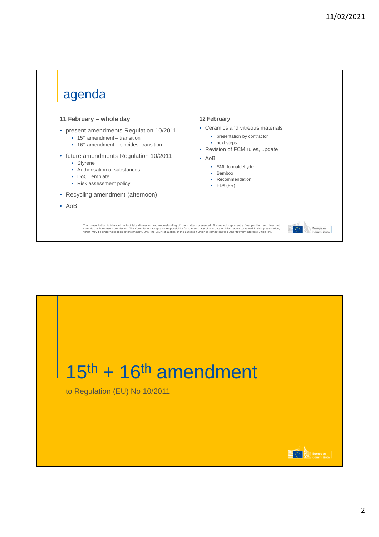

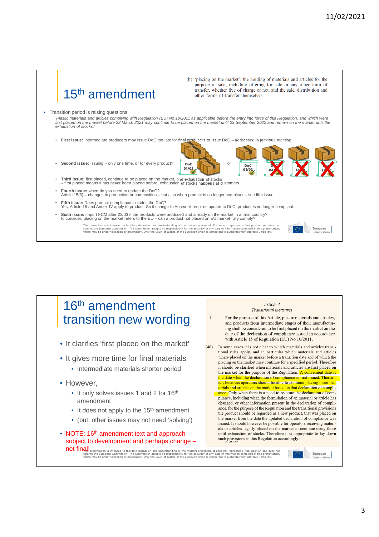# 15th amendment

• Transition period is raising questions:

'Plastic materials and articles complying with Regulation (EU) No 10/2011 as applicable before the entry into force of this Regulation, and which were<br>first placed on the market before 23 March 2021 may continue to be plac *exhaustion of stocks.'*

> DoC 01/02

• **First issue:** Intermediate producers may issue DoC too late for final producers to issue DoC – addressed in previous meeting

• **Second issue:** Issuing – only one time, or for every product? **poc** 

- **Third issue:** first placed, continue to be placed on the market, and exhaustion of stocks – first placed means it has never been placed before, exhaustion of stocks happens at customers
- 
- **Fourth issue:** when do you need to update the DoC? Article 15(3) changes in production or composition but also when product is no longer compliant see fifth issue
- **Fifth issue:** Does product compliance includes the DoC? Yes, Article 15 and Annex IV apply to product. So if change to Annex IV requires update to DoC, product is no longer compliant.
- **Sixth issue:** import FCM after 23/03 if the products were produced and already on the market in a third country?<br>to consider: placing on the market refers to the EU can a product not placed on EU market fully comply?

This presentation is intended to facilitate discussion and understanding of the matters presented. It does not<br>commit the European Commission. The Commission accepts no responsibility for the accuracy of any demark of the<br>

#### 16th amendment transition new wording

- It clarifies 'first placed on the market'
- It gives more time for final materials
	- Intermediate materials shorter period
- However,
	- It only solves issues 1 and 2 for 16<sup>th</sup> amendment
	- It does not apply to the 15<sup>th</sup> amendment
	- (but, other issues may not need 'solving')
- NOTE: 16<sup>th</sup> amendment text and approach subject to development and perhaps change – not final!

**\fils'**presentation is intended to facilitate discussion and understanding of the matters presented. It does not<br>commit the European Commission. The Commission accepts no responsibility for the accuracy of any demarkation

#### Article 3 **Transitional measures**

DoC 01/02

(b) 'placing on the market': the holding of materials and articles for the purpose of sale, including offering for sale or any other form of transfer, whether free of charge or not, and the sale, distribution and

other forms of transfer themselves.

DoC 04/2

DoC 12/03

DoC 22/03

European

- For the purpose of this Article, plastic materials and articles,  $\mathbf{1}$ . and products from intermediate stages of their manufacturing shall be considered to be first placed on the market on the date of the declaration of compliance issued in accordance with Article 15 of Regulation (EU) No 10/2011.
- (40) In some cases it is not clear to which materials and articles transitional rules apply, and in particular which materials and articles where placed on the market before a transition date and of which the placing on the market may continue for a specified period. Therefore it should be clarified when materials and articles are first placed on the market for the purpose of the Regulation. A convenient date is the date when the declaration of compliance is first issued. Thereafter, business operators should be able to continue placing more ma-**Exploration of compli-**<br>ance. Only when there is a need to re-issue the declaration of compli-<br>ance. Only when there is a need to re-issue the declaration of com- $\frac{1}{2}$  pliance, including when the formulation of an material or article has changed, or other information present in the declaration of compliance, for the purpose of the Regulation and the transitional provisions the product should be regarded as a new product, that was placed on the market from the date the updated declaration of compliance was issued. It should however be possible for operators receiving materials or articles legally placed on the market to continue using those until exhaustion of stocks. Therefore it is appropriate to lay down such provisions in this Regulation accordingly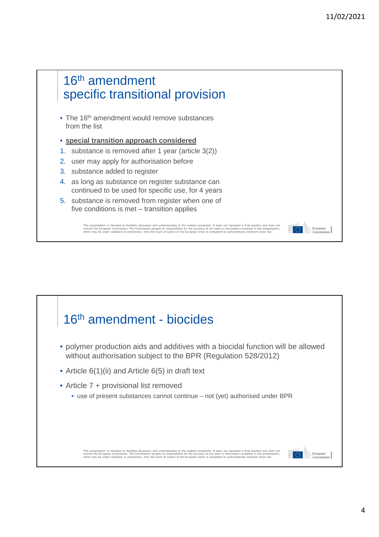



4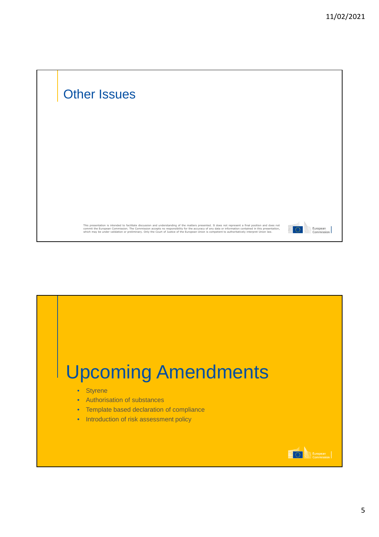

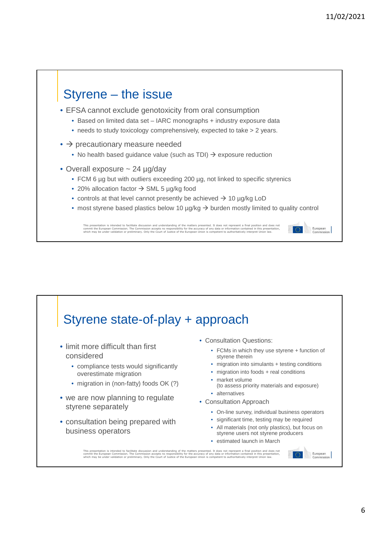European

# Styrene – the issue

- EFSA cannot exclude genotoxicity from oral consumption
	- Based on limited data set IARC monographs + industry exposure data
	- needs to study toxicology comprehensively, expected to take > 2 years.
- $\bullet$   $\rightarrow$  precautionary measure needed
	- No health based guidance value (such as TDI)  $\rightarrow$  exposure reduction
- Overall exposure ~ 24 µg/day
	- FCM 6 ug but with outliers exceeding 200 ug, not linked to specific styrenics
	- 20% allocation factor  $\rightarrow$  SML 5 µg/kg food
	- controls at that level cannot presently be achieved  $\rightarrow$  10  $\mu$ g/kg LoD
	- most styrene based plastics below 10  $\mu q/kq \rightarrow$  burden mostly limited to quality control

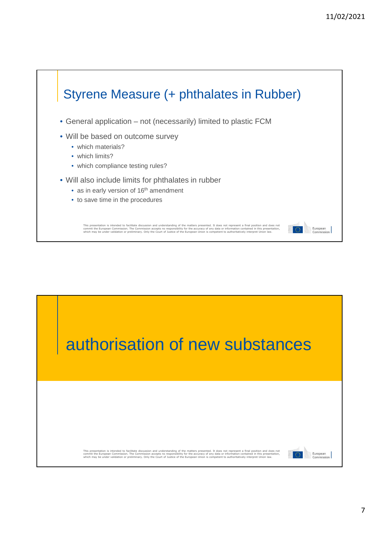

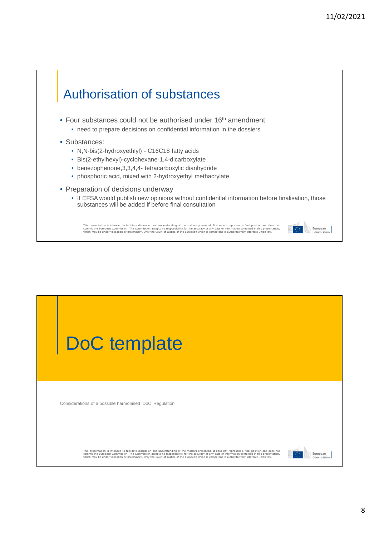

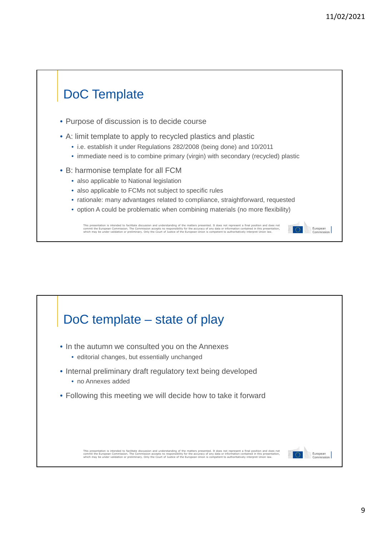European<br>Commission

# DoC Template

- Purpose of discussion is to decide course
- A: limit template to apply to recycled plastics and plastic
	- i.e. establish it under Regulations 282/2008 (being done) and 10/2011
	- immediate need is to combine primary (virgin) with secondary (recycled) plastic
- B: harmonise template for all FCM
	- also applicable to National legislation
	- also applicable to FCMs not subject to specific rules
	- rationale: many advantages related to compliance, straightforward, requested
	- option A could be problematic when combining materials (no more flexibility)

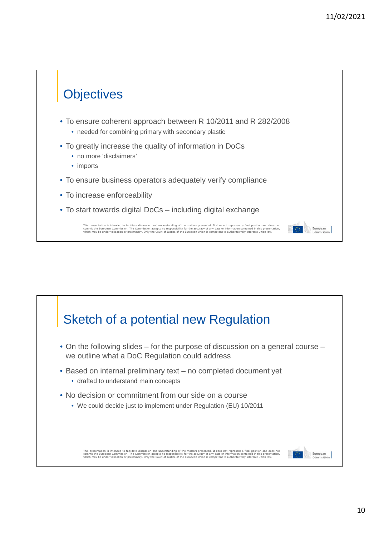## **Objectives** • To ensure coherent approach between R 10/2011 and R 282/2008 • needed for combining primary with secondary plastic • To greatly increase the quality of information in DoCs • no more 'disclaimers' • imports • To ensure business operators adequately verify compliance • To increase enforceability • To start towards digital DoCs – including digital exchange This presentation is intended to facilitate discussion and understanding of the matters presented. It does not<br>commit the European Commission. The Commission accepts no responsibility for the accuracy of any demark of the<br> European<br>Commissio

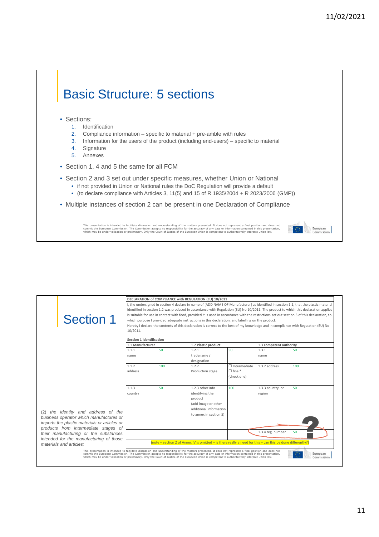European

# Basic Structure: 5 sections

#### • Sections:

- 1. Identification
- 2. Compliance information specific to material + pre-amble with rules
- 3. Information for the users of the product (including end-users) specific to material
- 4. Signature
- 5. Annexes
- Section 1, 4 and 5 the same for all FCM
- Section 2 and 3 set out under specific measures, whether Union or National
	- if not provided in Union or National rules the DoC Regulation will provide a default
	- (to declare compliance with Articles 3, 11(5) and 15 of R 1935/2004 + R 2023/2006 (GMP))
- Multiple instances of section 2 can be present in one Declaration of Compliance

|                                                                                                                                                                                                                                                                                                            |                                                                                                                                             |     | DECLARATION of COMPLIANCE with REGULATION (EU) 10/2011 |                     |                         |                                                                                                                                       |  |
|------------------------------------------------------------------------------------------------------------------------------------------------------------------------------------------------------------------------------------------------------------------------------------------------------------|---------------------------------------------------------------------------------------------------------------------------------------------|-----|--------------------------------------------------------|---------------------|-------------------------|---------------------------------------------------------------------------------------------------------------------------------------|--|
|                                                                                                                                                                                                                                                                                                            |                                                                                                                                             |     |                                                        |                     |                         | I, the undersigned in section 4 declare in name of JADD NAME OF Manufacturerl as identified in section 1.1, that the plastic material |  |
|                                                                                                                                                                                                                                                                                                            | identified in section 1.2 was produced in accordance with Regulation (EU) No 10/2011. The product to which this declaration applies         |     |                                                        |                     |                         |                                                                                                                                       |  |
|                                                                                                                                                                                                                                                                                                            | is suitable for use in contact with food, provided it is used in accordance with the restrictions set out section 3 of this declaration, to |     |                                                        |                     |                         |                                                                                                                                       |  |
| <b>Section 1</b>                                                                                                                                                                                                                                                                                           | which purpose I provided adequate instructions in this declaration, and labelling on the product.                                           |     |                                                        |                     |                         |                                                                                                                                       |  |
|                                                                                                                                                                                                                                                                                                            | Hereby I declare the contents of this declaration is correct to the best of my knowledge and in compliance with Regulation (EU) No          |     |                                                        |                     |                         |                                                                                                                                       |  |
|                                                                                                                                                                                                                                                                                                            | 10/2011.                                                                                                                                    |     |                                                        |                     |                         |                                                                                                                                       |  |
|                                                                                                                                                                                                                                                                                                            | Section 1 Identification                                                                                                                    |     |                                                        |                     |                         |                                                                                                                                       |  |
|                                                                                                                                                                                                                                                                                                            |                                                                                                                                             |     |                                                        |                     |                         |                                                                                                                                       |  |
|                                                                                                                                                                                                                                                                                                            | 1.1 Manufacturer                                                                                                                            |     | 1.2 Plastic product                                    |                     | 1.3 competent authority |                                                                                                                                       |  |
|                                                                                                                                                                                                                                                                                                            | 1.1.1                                                                                                                                       | 50  | 1.2.1                                                  | 50                  | 1.3.1                   | 50                                                                                                                                    |  |
|                                                                                                                                                                                                                                                                                                            | name                                                                                                                                        |     | tradename /                                            |                     | name                    |                                                                                                                                       |  |
|                                                                                                                                                                                                                                                                                                            |                                                                                                                                             |     | designation                                            | $\Box$ Intermediate | 1.3.2 address           |                                                                                                                                       |  |
|                                                                                                                                                                                                                                                                                                            | 1.1.2                                                                                                                                       | 100 | 1.2.2                                                  |                     |                         | 100                                                                                                                                   |  |
|                                                                                                                                                                                                                                                                                                            | address                                                                                                                                     |     | Production stage                                       | $\Box$ final*       |                         |                                                                                                                                       |  |
|                                                                                                                                                                                                                                                                                                            |                                                                                                                                             |     |                                                        | (check one)         |                         |                                                                                                                                       |  |
|                                                                                                                                                                                                                                                                                                            | 1.1.3                                                                                                                                       | 50  | 1.2.3 other info                                       | 100                 | 1.3.3 country or        | 50                                                                                                                                    |  |
|                                                                                                                                                                                                                                                                                                            | country                                                                                                                                     |     | identifying the                                        |                     | region                  |                                                                                                                                       |  |
|                                                                                                                                                                                                                                                                                                            |                                                                                                                                             |     | product                                                |                     |                         |                                                                                                                                       |  |
|                                                                                                                                                                                                                                                                                                            |                                                                                                                                             |     | (add image or other                                    |                     |                         |                                                                                                                                       |  |
|                                                                                                                                                                                                                                                                                                            |                                                                                                                                             |     | additional information                                 |                     |                         |                                                                                                                                       |  |
| the identity and address of the<br>(2)                                                                                                                                                                                                                                                                     |                                                                                                                                             |     | to annex in section 5)                                 |                     |                         |                                                                                                                                       |  |
| business operator which manufactures or                                                                                                                                                                                                                                                                    |                                                                                                                                             |     |                                                        |                     |                         |                                                                                                                                       |  |
| imports the plastic materials or articles or                                                                                                                                                                                                                                                               |                                                                                                                                             |     |                                                        |                     |                         |                                                                                                                                       |  |
| products from intermediate stages of                                                                                                                                                                                                                                                                       |                                                                                                                                             |     |                                                        |                     |                         |                                                                                                                                       |  |
| their manufacturing or the substances                                                                                                                                                                                                                                                                      |                                                                                                                                             |     |                                                        |                     | 1.3.4 reg. number       | 50                                                                                                                                    |  |
| intended for the manufacturing of those                                                                                                                                                                                                                                                                    |                                                                                                                                             |     |                                                        |                     |                         |                                                                                                                                       |  |
| materials and articles:                                                                                                                                                                                                                                                                                    | (note $-$ section 2 of Annex IV is omitted $-$ is there really a need for this $-$ can this be done differently?)                           |     |                                                        |                     |                         |                                                                                                                                       |  |
| This presentation is intended to facilitate discussion and understanding of the matters presented. It does not represent a final position and does not                                                                                                                                                     |                                                                                                                                             |     |                                                        |                     |                         |                                                                                                                                       |  |
| commit the European Commission. The Commission accepts no responsibility for the accuracy of any data or information contained in this presentation,<br>which may be under validation or preliminary. Only the Court of Justice of the European Union is competent to authoritatively interpret Union law. |                                                                                                                                             |     |                                                        |                     |                         | O<br>European<br>Commission                                                                                                           |  |
|                                                                                                                                                                                                                                                                                                            |                                                                                                                                             |     |                                                        |                     |                         |                                                                                                                                       |  |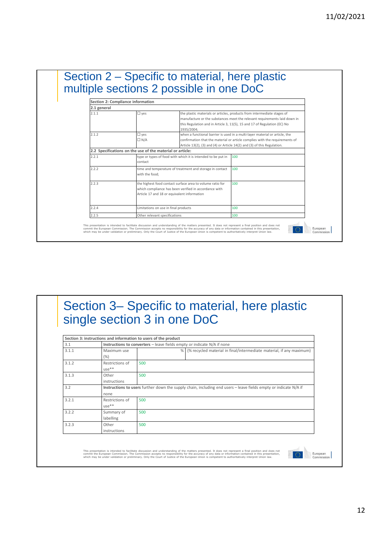|                      |                                                           | multiple sections 2 possible in one DoC                                                                                                                           |                                                                                                                                                                                                                                       |  |  |
|----------------------|-----------------------------------------------------------|-------------------------------------------------------------------------------------------------------------------------------------------------------------------|---------------------------------------------------------------------------------------------------------------------------------------------------------------------------------------------------------------------------------------|--|--|
|                      | Section 2: Compliance information                         |                                                                                                                                                                   |                                                                                                                                                                                                                                       |  |  |
| 2.1 general<br>2.1.1 | $\square$ yes                                             | 1935/2004;                                                                                                                                                        | the plastic materials or articles, products from intermediate stages of<br>manufacture or the substances meet the relevant requirements laid down in<br>this Regulation and in Article 3, 11(5), 15 and 17 of Regulation (EC) No      |  |  |
| 2.1.2                | $\square$ yes<br>$\Box N/A$                               |                                                                                                                                                                   | when a functional barrier is used in a multi-layer material or article, the<br>confirmation that the material or article complies with the requirements of<br>Article 13(2), (3) and (4) or Article 14(2) and (3) of this Regulation. |  |  |
|                      | 2.2 Specifications on the use of the material or article: |                                                                                                                                                                   |                                                                                                                                                                                                                                       |  |  |
| 2.2.1                | contact                                                   | type or types of food with which it is intended to be put in                                                                                                      | 100                                                                                                                                                                                                                                   |  |  |
| 2.2.2                | with the food:                                            | time and temperature of treatment and storage in contact                                                                                                          | 100                                                                                                                                                                                                                                   |  |  |
| 2.2.3                |                                                           | the highest food contact surface area to volume ratio for<br>which compliance has been verified in accordance with<br>Article 17 and 18 or equivalent information | 100                                                                                                                                                                                                                                   |  |  |
| 2.2.4                | Limitations on use in final products                      |                                                                                                                                                                   | 100                                                                                                                                                                                                                                   |  |  |
| 2.2.5                | Other relevant specifications                             |                                                                                                                                                                   | 100                                                                                                                                                                                                                                   |  |  |

## Section 3– Specific to material, here plastic single section 3 in one DoC

|       | Section 3: instructions and information to users of the product         |                                                                                                                  |   |                                                                      |  |  |
|-------|-------------------------------------------------------------------------|------------------------------------------------------------------------------------------------------------------|---|----------------------------------------------------------------------|--|--|
| 3.1   | Instructions to converters - leave fields empty or indicate N/A if none |                                                                                                                  |   |                                                                      |  |  |
| 3.1.1 | Maximum use                                                             |                                                                                                                  | % | (% recycled material in final/intermediate material, if any maximum) |  |  |
|       | (%)                                                                     |                                                                                                                  |   |                                                                      |  |  |
| 3.1.2 | Restrictions of                                                         | 500                                                                                                              |   |                                                                      |  |  |
|       | $use**$                                                                 |                                                                                                                  |   |                                                                      |  |  |
| 3.1.3 | Other                                                                   | 500                                                                                                              |   |                                                                      |  |  |
|       | instructions                                                            |                                                                                                                  |   |                                                                      |  |  |
| 3.2   |                                                                         | Instructions to users further down the supply chain, including end users - leave fields empty or indicate N/A if |   |                                                                      |  |  |
|       | none                                                                    |                                                                                                                  |   |                                                                      |  |  |
| 3.2.1 | Restrictions of                                                         | 500                                                                                                              |   |                                                                      |  |  |
|       | $use**$                                                                 |                                                                                                                  |   |                                                                      |  |  |
| 3.2.2 | Summary of                                                              | 500                                                                                                              |   |                                                                      |  |  |
|       | labelling                                                               |                                                                                                                  |   |                                                                      |  |  |
| 3.2.3 | Other                                                                   | 500                                                                                                              |   |                                                                      |  |  |
|       | instructions                                                            |                                                                                                                  |   |                                                                      |  |  |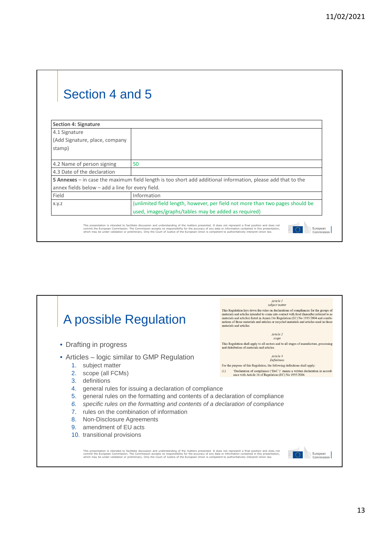| Section 4 and 5                                  |                                                                                                                     |
|--------------------------------------------------|---------------------------------------------------------------------------------------------------------------------|
| <b>Section 4: Signature</b>                      |                                                                                                                     |
| 4.1 Signature                                    |                                                                                                                     |
| (Add Signature, place, company                   |                                                                                                                     |
| stamp)                                           |                                                                                                                     |
| 4.2 Name of person signing                       | 50                                                                                                                  |
| 4.3 Date of the declaration                      |                                                                                                                     |
|                                                  | <b>5 Annexes</b> – in case the maximum field length is too short add additional information, please add that to the |
| annex fields below - add a line for every field. |                                                                                                                     |
| Field                                            | Information                                                                                                         |
| X.y.z                                            | (unlimited field length, however, per field not more than two pages should be                                       |
|                                                  | used, images/graphs/tables may be added as required)                                                                |

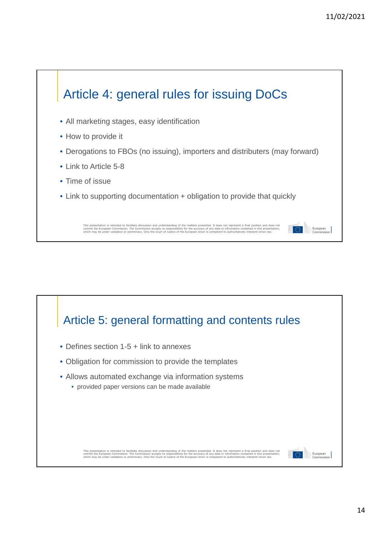

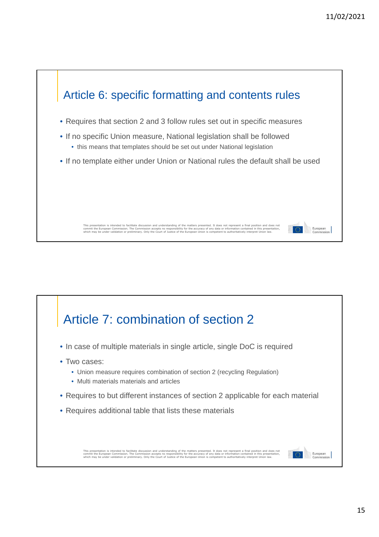

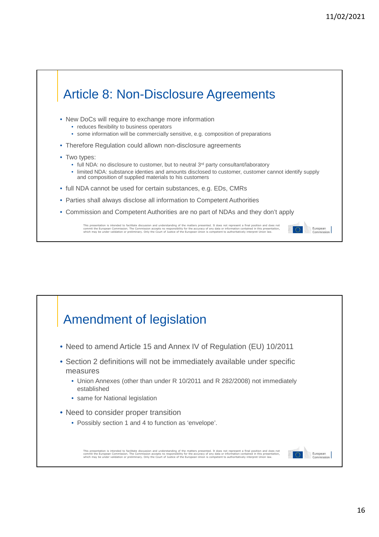

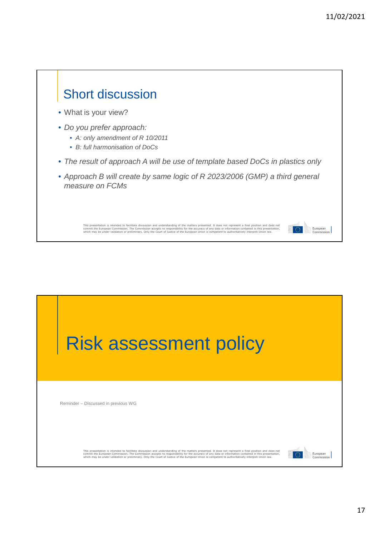

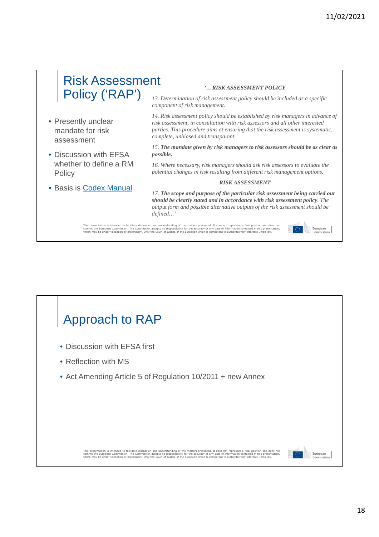European

### Risk Assessment Policy ('RAP') *'…RISK ASSESSMENT POLICY*

- Presently unclear mandate for risk assessment
- Discussion with EFSA whether to define a RM **Policy**
- Basis is Codex Manual

*13. Determination of risk assessment policy should be included as a specific component of risk management.*

*14. Risk assessment policy should be established by risk managers in advance of risk assessment, in consultation with risk assessors and all other interested parties. This procedure aims at ensuring that the risk assessment is systematic, complete, unbiased and transparent.*

*15. The mandate given by risk managers to risk assessors should be as clear as possible.*

*16. Where necessary, risk managers should ask risk assessors to evaluate the potential changes in risk resulting from different risk management options.*

#### *RISK ASSESSMENT*

*17. The scope and purpose of the particular risk assessment being carried out should be clearly stated and in accordance with risk assessment policy. The output form and possible alternative outputs of the risk assessment should be defined…'*

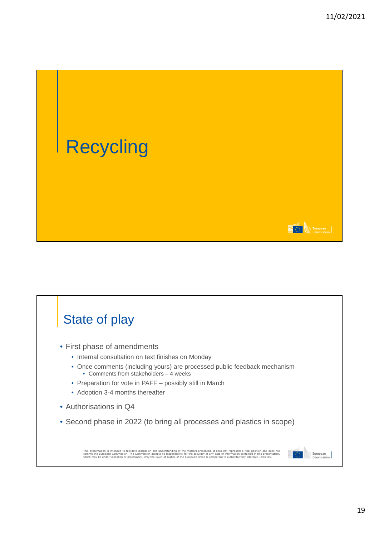

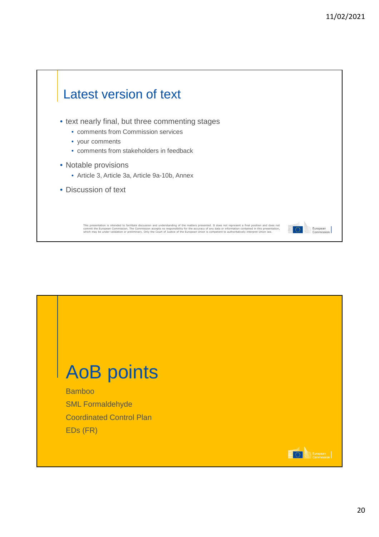